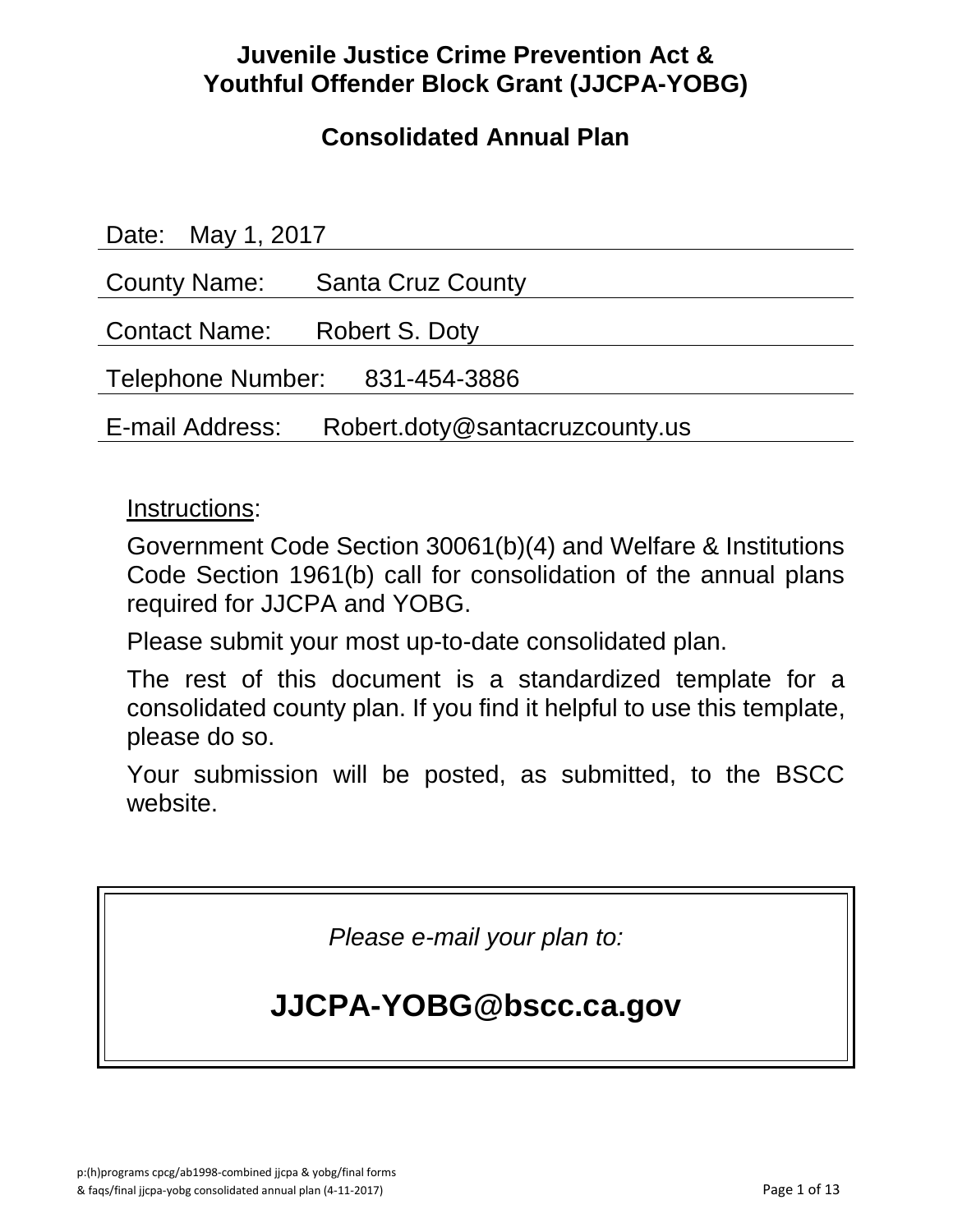# **Juvenile Justice Crime Prevention Act & Youthful Offender Block Grant (JJCPA-YOBG)**

# **Consolidated Annual Plan**

| Date: May 1, 2017              |                                |
|--------------------------------|--------------------------------|
|                                | County Name: Santa Cruz County |
| Contact Name: Robert S. Doty   |                                |
| Telephone Number: 831-454-3886 |                                |
| E-mail Address:                | Robert.doty@santacruzcounty.us |

### Instructions:

Government Code Section 30061(b)(4) and Welfare & Institutions Code Section 1961(b) call for consolidation of the annual plans required for JJCPA and YOBG.

Please submit your most up-to-date consolidated plan.

The rest of this document is a standardized template for a consolidated county plan. If you find it helpful to use this template, please do so.

Your submission will be posted, as submitted, to the BSCC website.

*Please e-mail your plan to:*

# **JJCPA-YOBG@bscc.ca.gov**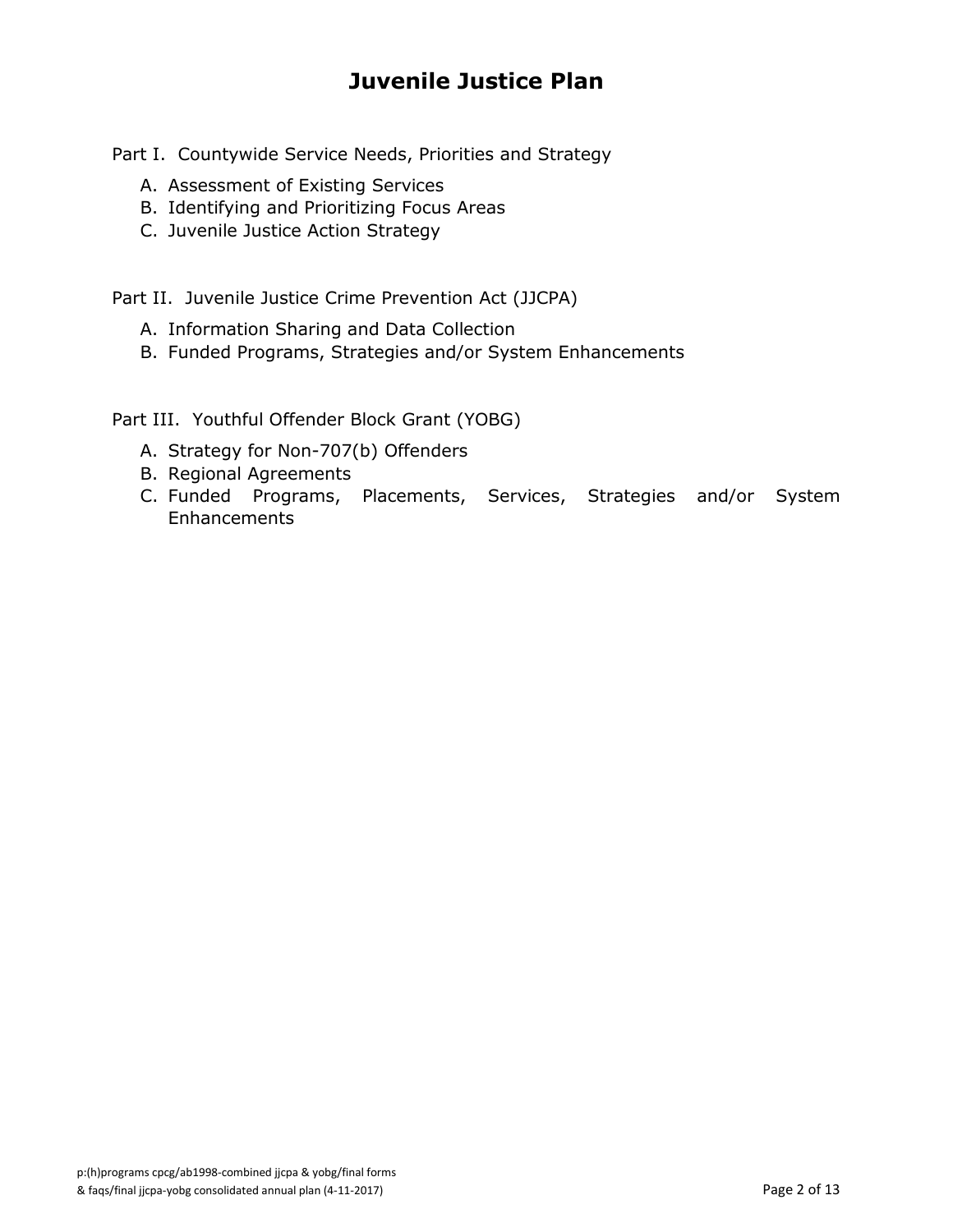# **Juvenile Justice Plan**

Part I. Countywide Service Needs, Priorities and Strategy

- A. Assessment of Existing Services
- B. Identifying and Prioritizing Focus Areas
- C. Juvenile Justice Action Strategy

Part II. Juvenile Justice Crime Prevention Act (JJCPA)

- A. Information Sharing and Data Collection
- B. Funded Programs, Strategies and/or System Enhancements

Part III. Youthful Offender Block Grant (YOBG)

- A. Strategy for Non-707(b) Offenders
- B. Regional Agreements
- C. Funded Programs, Placements, Services, Strategies and/or System **Enhancements**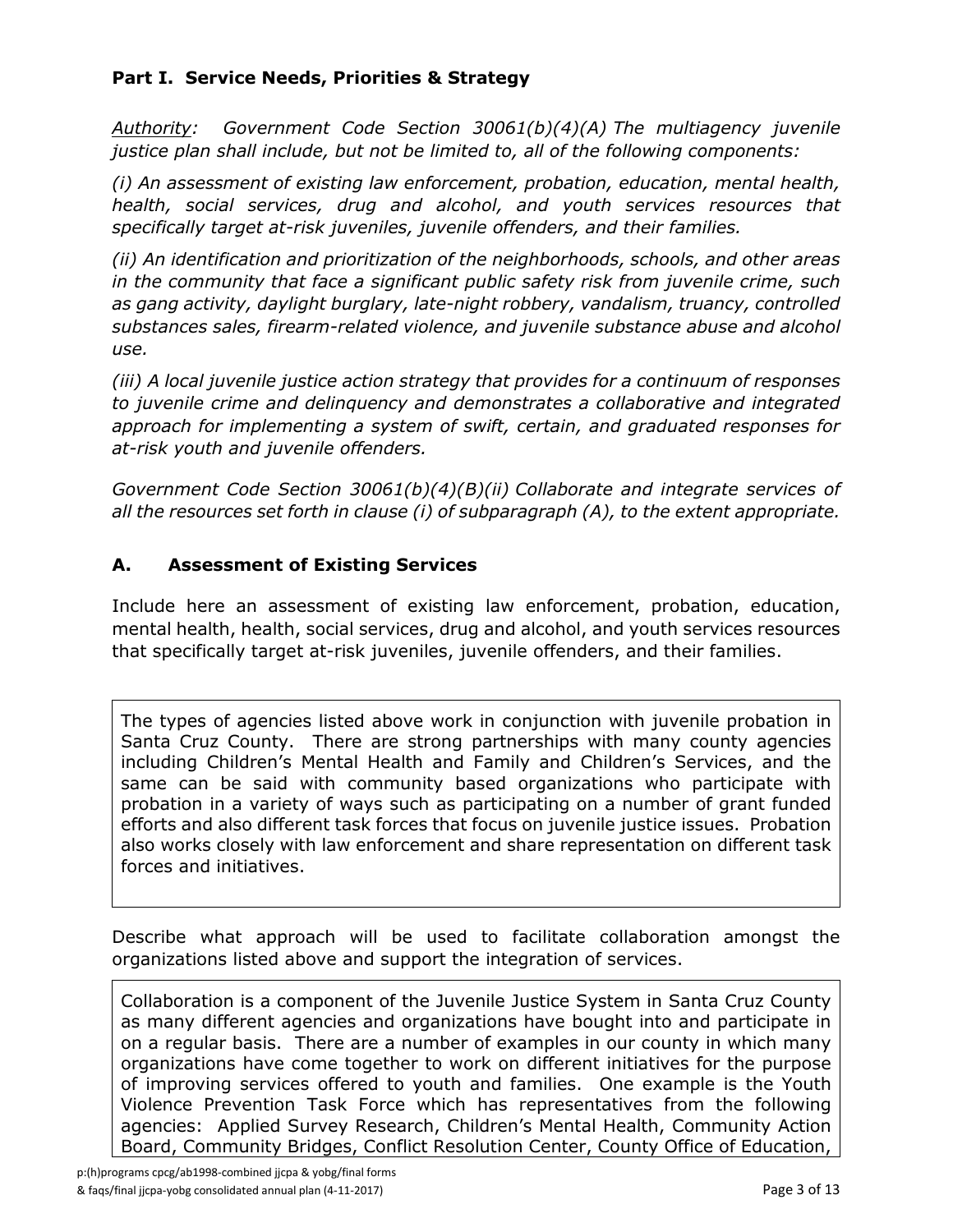#### **Part I. Service Needs, Priorities & Strategy**

*Authority: Government Code Section 30061(b)(4)(A) The multiagency juvenile justice plan shall include, but not be limited to, all of the following components:*

*(i) An assessment of existing law enforcement, probation, education, mental health, health, social services, drug and alcohol, and youth services resources that specifically target at-risk juveniles, juvenile offenders, and their families.*

*(ii) An identification and prioritization of the neighborhoods, schools, and other areas in the community that face a significant public safety risk from juvenile crime, such as gang activity, daylight burglary, late-night robbery, vandalism, truancy, controlled substances sales, firearm-related violence, and juvenile substance abuse and alcohol use.*

*(iii) A local juvenile justice action strategy that provides for a continuum of responses to juvenile crime and delinquency and demonstrates a collaborative and integrated approach for implementing a system of swift, certain, and graduated responses for at-risk youth and juvenile offenders.*

*Government Code Section 30061(b)(4)(B)(ii) Collaborate and integrate services of all the resources set forth in clause (i) of subparagraph (A), to the extent appropriate.*

#### **A. Assessment of Existing Services**

Include here an assessment of existing law enforcement, probation, education, mental health, health, social services, drug and alcohol, and youth services resources that specifically target at-risk juveniles, juvenile offenders, and their families.

The types of agencies listed above work in conjunction with juvenile probation in Santa Cruz County. There are strong partnerships with many county agencies including Children's Mental Health and Family and Children's Services, and the same can be said with community based organizations who participate with probation in a variety of ways such as participating on a number of grant funded efforts and also different task forces that focus on juvenile justice issues. Probation also works closely with law enforcement and share representation on different task forces and initiatives.

Describe what approach will be used to facilitate collaboration amongst the organizations listed above and support the integration of services.

Collaboration is a component of the Juvenile Justice System in Santa Cruz County as many different agencies and organizations have bought into and participate in on a regular basis. There are a number of examples in our county in which many organizations have come together to work on different initiatives for the purpose of improving services offered to youth and families. One example is the Youth Violence Prevention Task Force which has representatives from the following agencies: Applied Survey Research, Children's Mental Health, Community Action Board, Community Bridges, Conflict Resolution Center, County Office of Education,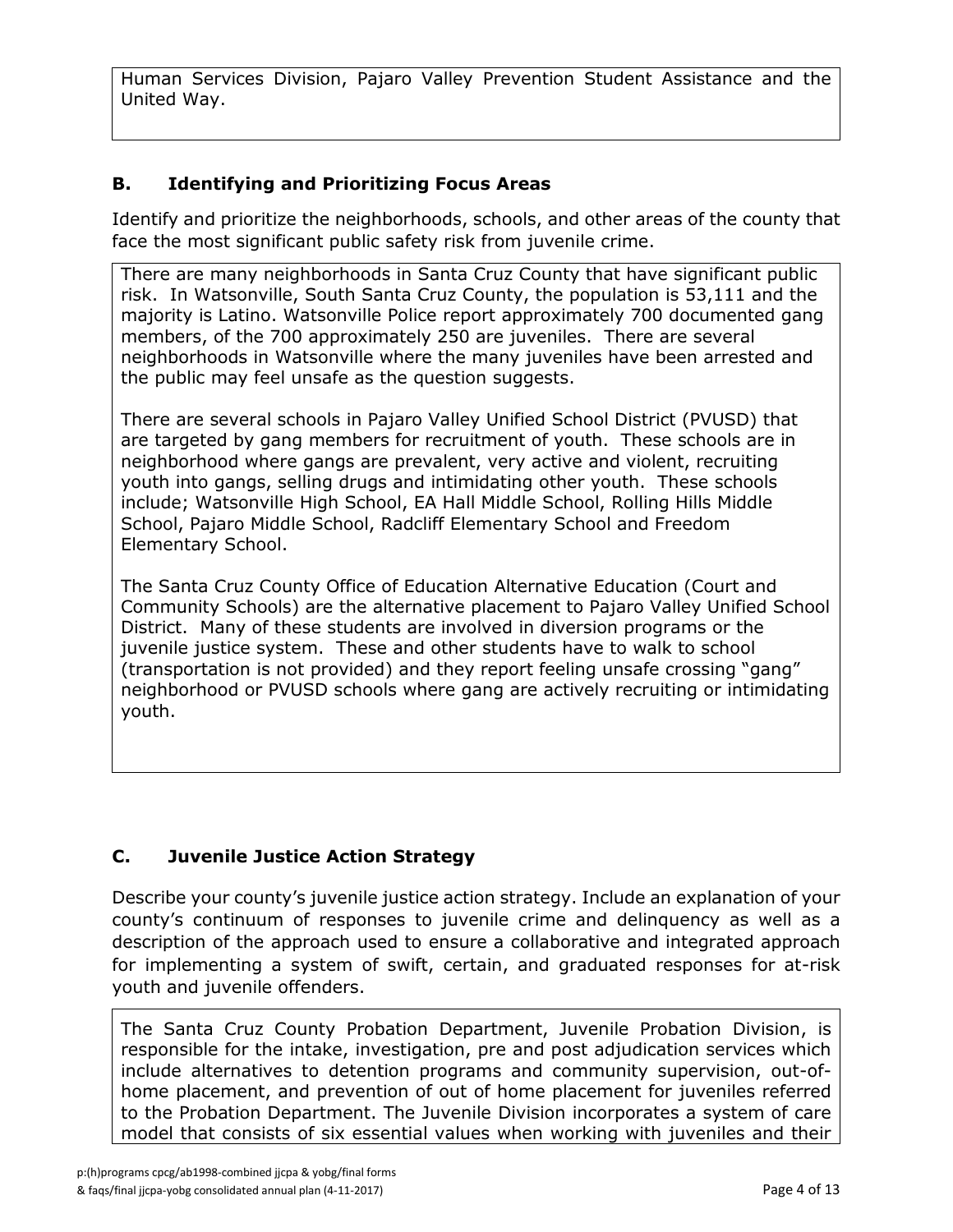Human Services Division, Pajaro Valley Prevention Student Assistance and the United Way.

### **B. Identifying and Prioritizing Focus Areas**

Identify and prioritize the neighborhoods, schools, and other areas of the county that face the most significant public safety risk from juvenile crime.

There are many neighborhoods in Santa Cruz County that have significant public risk. In Watsonville, South Santa Cruz County, the population is 53,111 and the majority is Latino. Watsonville Police report approximately 700 documented gang members, of the 700 approximately 250 are juveniles. There are several neighborhoods in Watsonville where the many juveniles have been arrested and the public may feel unsafe as the question suggests.

There are several schools in Pajaro Valley Unified School District (PVUSD) that are targeted by gang members for recruitment of youth. These schools are in neighborhood where gangs are prevalent, very active and violent, recruiting youth into gangs, selling drugs and intimidating other youth. These schools include; Watsonville High School, EA Hall Middle School, Rolling Hills Middle School, Pajaro Middle School, Radcliff Elementary School and Freedom Elementary School.

The Santa Cruz County Office of Education Alternative Education (Court and Community Schools) are the alternative placement to Pajaro Valley Unified School District. Many of these students are involved in diversion programs or the juvenile justice system. These and other students have to walk to school (transportation is not provided) and they report feeling unsafe crossing "gang" neighborhood or PVUSD schools where gang are actively recruiting or intimidating youth.

### **C. Juvenile Justice Action Strategy**

Describe your county's juvenile justice action strategy. Include an explanation of your county's continuum of responses to juvenile crime and delinquency as well as a description of the approach used to ensure a collaborative and integrated approach for implementing a system of swift, certain, and graduated responses for at-risk youth and juvenile offenders.

The Santa Cruz County Probation Department, Juvenile Probation Division, is responsible for the intake, investigation, pre and post adjudication services which include alternatives to detention programs and community supervision, out-ofhome placement, and prevention of out of home placement for juveniles referred to the Probation Department. The Juvenile Division incorporates a system of care model that consists of six essential values when working with juveniles and their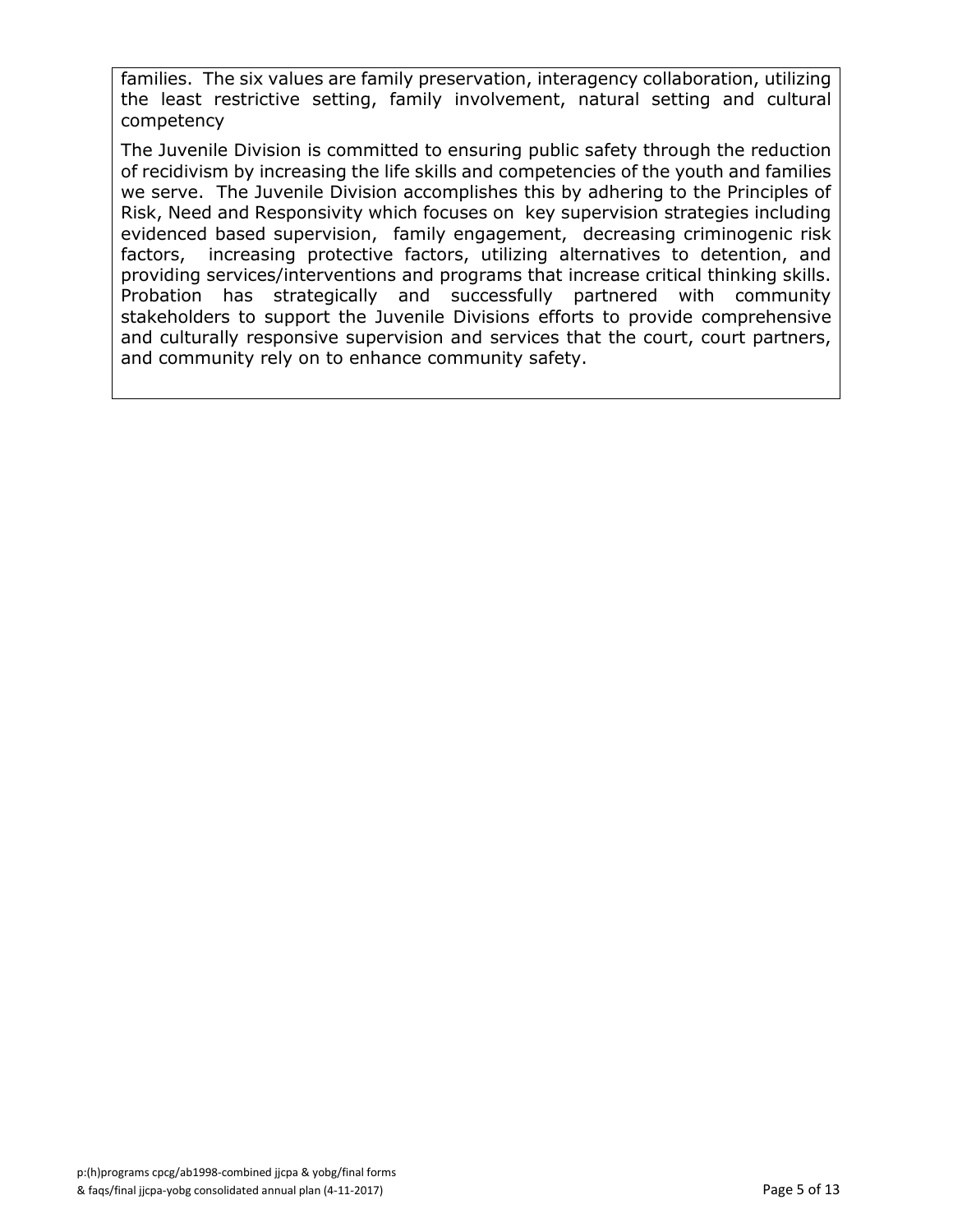families. The six values are family preservation, interagency collaboration, utilizing the least restrictive setting, family involvement, natural setting and cultural competency

The Juvenile Division is committed to ensuring public safety through the reduction of recidivism by increasing the life skills and competencies of the youth and families we serve. The Juvenile Division accomplishes this by adhering to the Principles of Risk, Need and Responsivity which focuses on key supervision strategies including evidenced based supervision, family engagement, decreasing criminogenic risk factors, increasing protective factors, utilizing alternatives to detention, and providing services/interventions and programs that increase critical thinking skills. Probation has strategically and successfully partnered with community stakeholders to support the Juvenile Divisions efforts to provide comprehensive and culturally responsive supervision and services that the court, court partners, and community rely on to enhance community safety.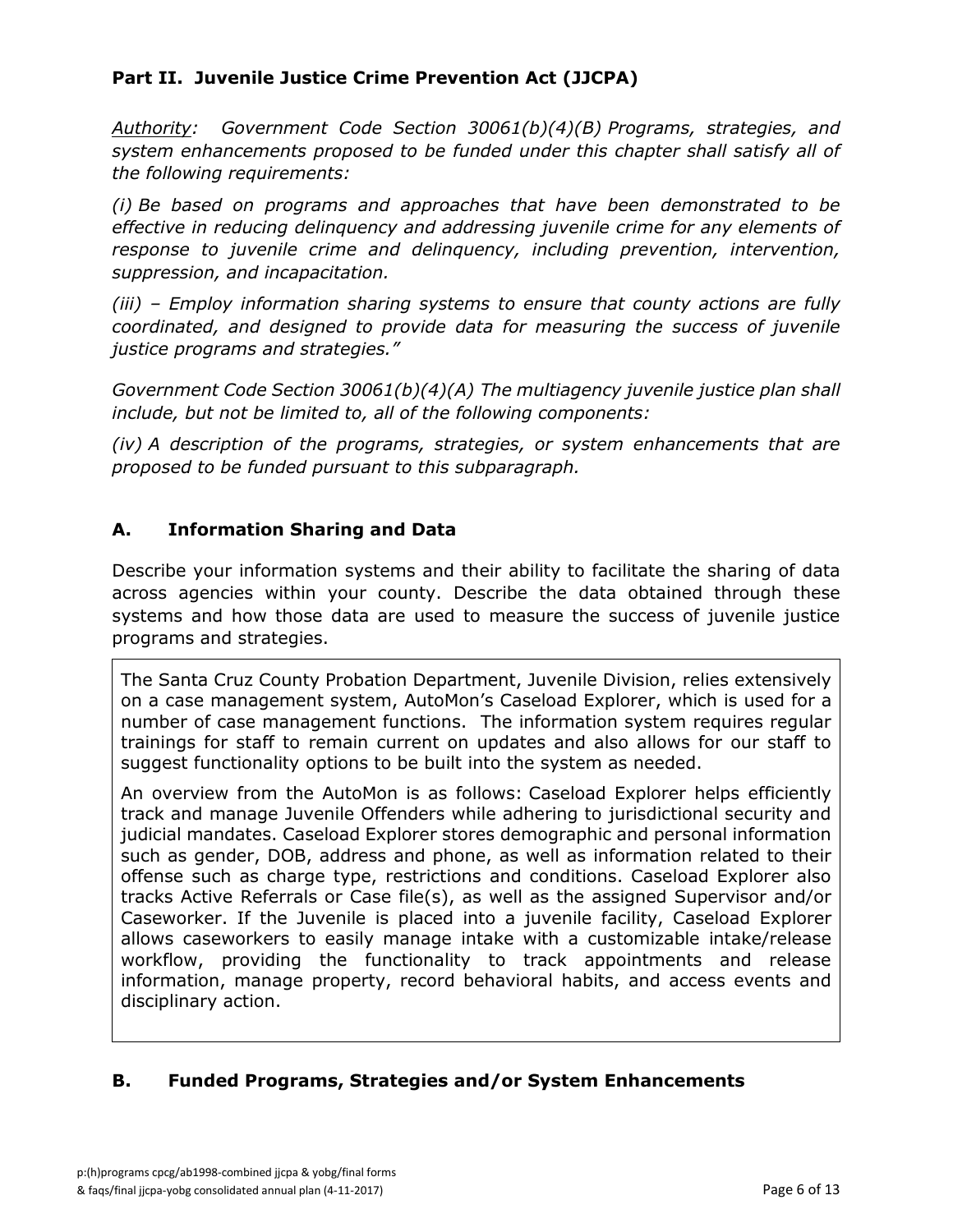#### **Part II. Juvenile Justice Crime Prevention Act (JJCPA)**

*Authority: Government Code Section 30061(b)(4)(B) Programs, strategies, and system enhancements proposed to be funded under this chapter shall satisfy all of the following requirements:*

*(i) Be based on programs and approaches that have been demonstrated to be effective in reducing delinquency and addressing juvenile crime for any elements of response to juvenile crime and delinquency, including prevention, intervention, suppression, and incapacitation.*

*(iii) – Employ information sharing systems to ensure that county actions are fully coordinated, and designed to provide data for measuring the success of juvenile justice programs and strategies."*

*Government Code Section 30061(b)(4)(A) The multiagency juvenile justice plan shall include, but not be limited to, all of the following components:*

*(iv) A description of the programs, strategies, or system enhancements that are proposed to be funded pursuant to this subparagraph.*

#### **A. Information Sharing and Data**

Describe your information systems and their ability to facilitate the sharing of data across agencies within your county. Describe the data obtained through these systems and how those data are used to measure the success of juvenile justice programs and strategies.

The Santa Cruz County Probation Department, Juvenile Division, relies extensively on a case management system, AutoMon's Caseload Explorer, which is used for a number of case management functions. The information system requires regular trainings for staff to remain current on updates and also allows for our staff to suggest functionality options to be built into the system as needed.

An overview from the AutoMon is as follows: Caseload Explorer helps efficiently track and manage Juvenile Offenders while adhering to jurisdictional security and judicial mandates. Caseload Explorer stores demographic and personal information such as gender, DOB, address and phone, as well as information related to their offense such as charge type, restrictions and conditions. Caseload Explorer also tracks Active Referrals or Case file(s), as well as the assigned Supervisor and/or Caseworker. If the Juvenile is placed into a juvenile facility, Caseload Explorer allows caseworkers to easily manage intake with a customizable intake/release workflow, providing the functionality to track appointments and release information, manage property, record behavioral habits, and access events and disciplinary action.

#### **B. Funded Programs, Strategies and/or System Enhancements**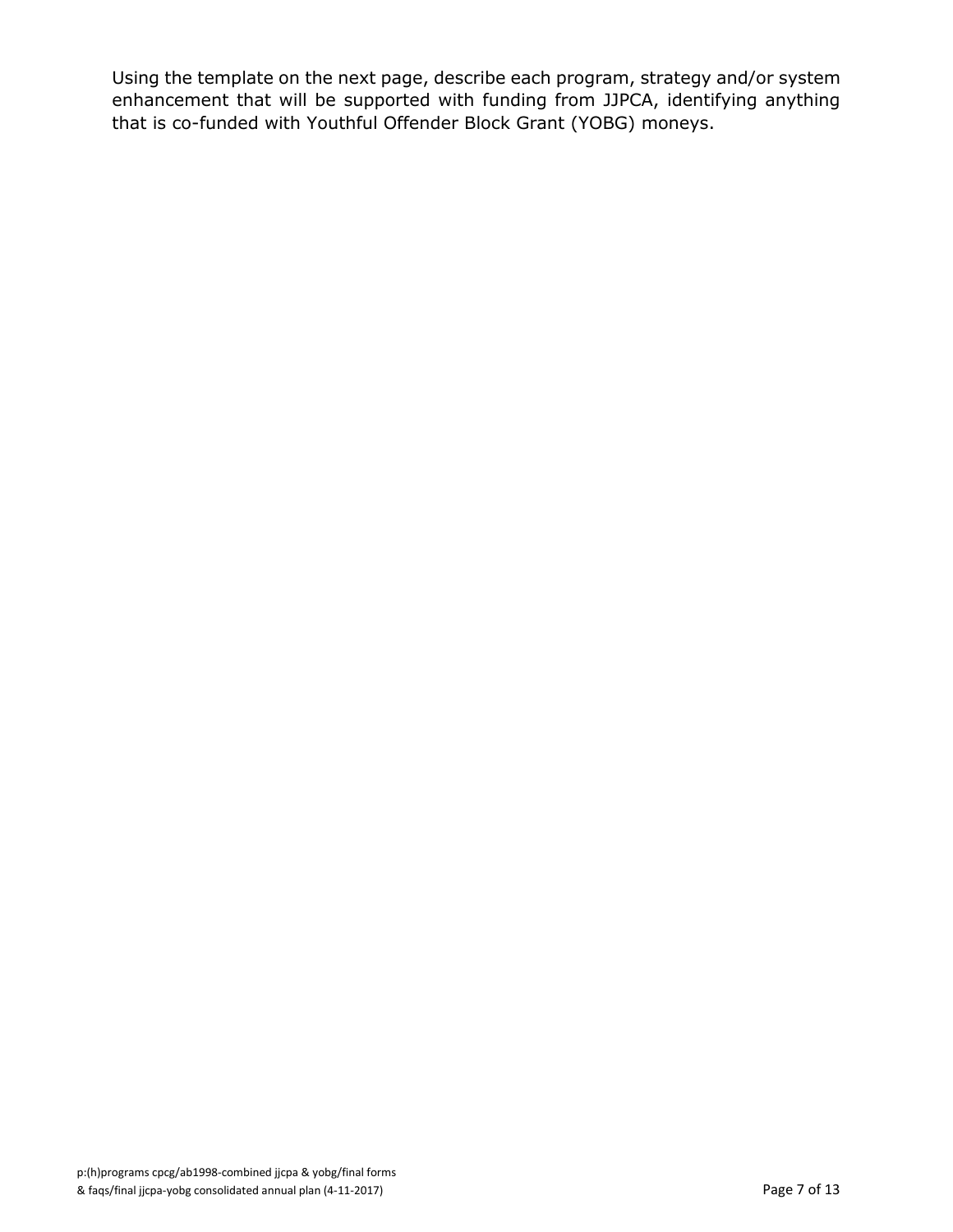Using the template on the next page, describe each program, strategy and/or system enhancement that will be supported with funding from JJPCA, identifying anything that is co-funded with Youthful Offender Block Grant (YOBG) moneys.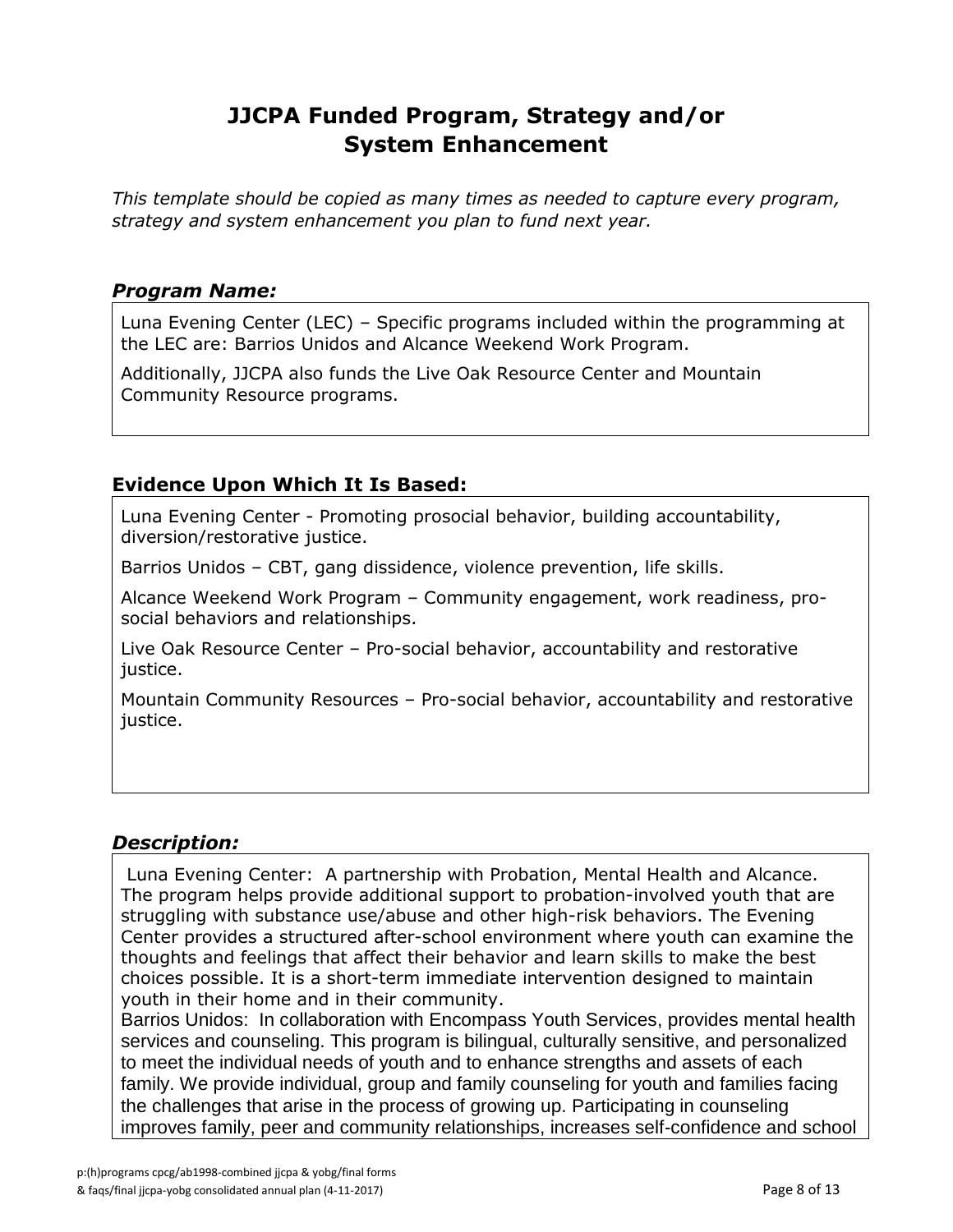# **JJCPA Funded Program, Strategy and/or System Enhancement**

*This template should be copied as many times as needed to capture every program, strategy and system enhancement you plan to fund next year.*

#### *Program Name:*

Luna Evening Center (LEC) – Specific programs included within the programming at the LEC are: Barrios Unidos and Alcance Weekend Work Program.

Additionally, JJCPA also funds the Live Oak Resource Center and Mountain Community Resource programs.

#### **Evidence Upon Which It Is Based:**

Luna Evening Center - Promoting prosocial behavior, building accountability, diversion/restorative justice.

Barrios Unidos – CBT, gang dissidence, violence prevention, life skills.

Alcance Weekend Work Program – Community engagement, work readiness, prosocial behaviors and relationships.

Live Oak Resource Center – Pro-social behavior, accountability and restorative justice.

Mountain Community Resources – Pro-social behavior, accountability and restorative justice.

#### *Description:*

Luna Evening Center: A partnership with Probation, Mental Health and Alcance. The program helps provide additional support to probation-involved youth that are struggling with substance use/abuse and other high-risk behaviors. The Evening Center provides a structured after-school environment where youth can examine the thoughts and feelings that affect their behavior and learn skills to make the best choices possible. It is a short-term immediate intervention designed to maintain youth in their home and in their community.

Barrios Unidos: In collaboration with [Encompass Youth Services,](http://www.encompasscs.org/youth-services/youth-services) provides mental health services and counseling. This program is bilingual, culturally sensitive, and personalized to meet the individual needs of youth and to enhance strengths and assets of each family. We provide individual, group and family counseling for youth and families facing the challenges that arise in the process of growing up. Participating in counseling improves family, peer and community relationships, increases self-confidence and school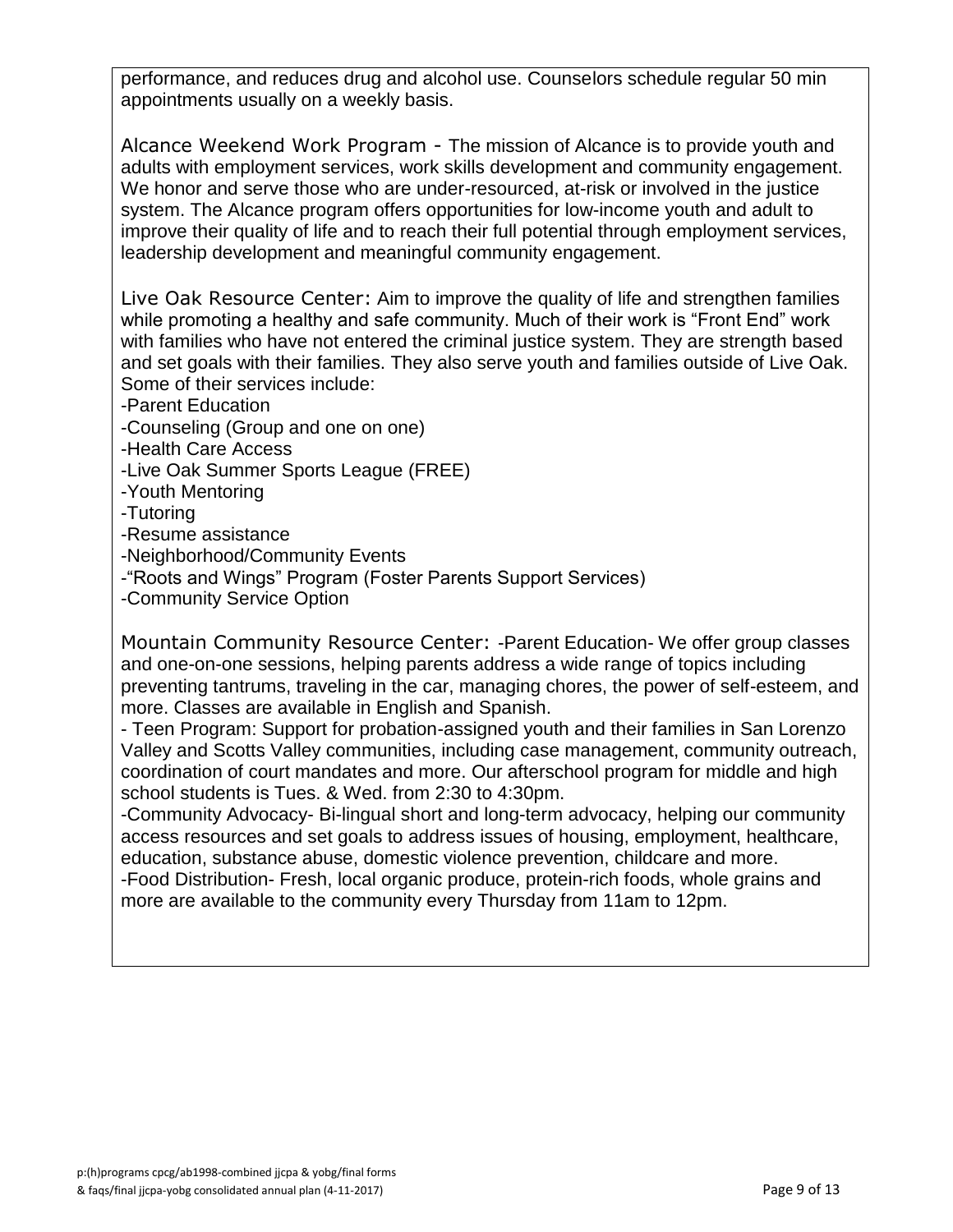performance, and reduces drug and alcohol use. Counselors schedule regular 50 min appointments usually on a weekly basis.

Alcance Weekend Work Program - The mission of Alcance is to provide youth and adults with employment services, work skills development and community engagement. We honor and serve those who are under-resourced, at-risk or involved in the justice system. The Alcance program offers opportunities for low-income youth and adult to improve their quality of life and to reach their full potential through employment services, leadership development and meaningful community engagement.

Live Oak Resource Center: Aim to improve the quality of life and strengthen families while promoting a healthy and safe community. Much of their work is "Front End" work with families who have not entered the criminal justice system. They are strength based and set goals with their families. They also serve youth and families outside of Live Oak. Some of their services include:

-Parent Education

-Counseling (Group and one on one)

- -Health Care Access
- -Live Oak Summer Sports League (FREE)
- -Youth Mentoring
- -Tutoring
- -Resume assistance
- -Neighborhood/Community Events
- -"Roots and Wings" Program (Foster Parents Support Services)
- -Community Service Option

Mountain Community Resource Center: -Parent Education- We offer group classes and one-on-one sessions, helping parents address a wide range of topics including preventing tantrums, traveling in the car, managing chores, the power of self-esteem, and more. Classes are available in English and Spanish.

- Teen Program: Support for probation-assigned youth and their families in San Lorenzo Valley and Scotts Valley communities, including case management, community outreach, coordination of court mandates and more. Our afterschool program for middle and high school students is Tues. & Wed. from 2:30 to 4:30pm.

-Community Advocacy- Bi-lingual short and long-term advocacy, helping our community access resources and set goals to address issues of housing, employment, healthcare, education, substance abuse, domestic violence prevention, childcare and more. -Food Distribution- Fresh, local organic produce, protein-rich foods, whole grains and more are available to the community every Thursday from 11am to 12pm.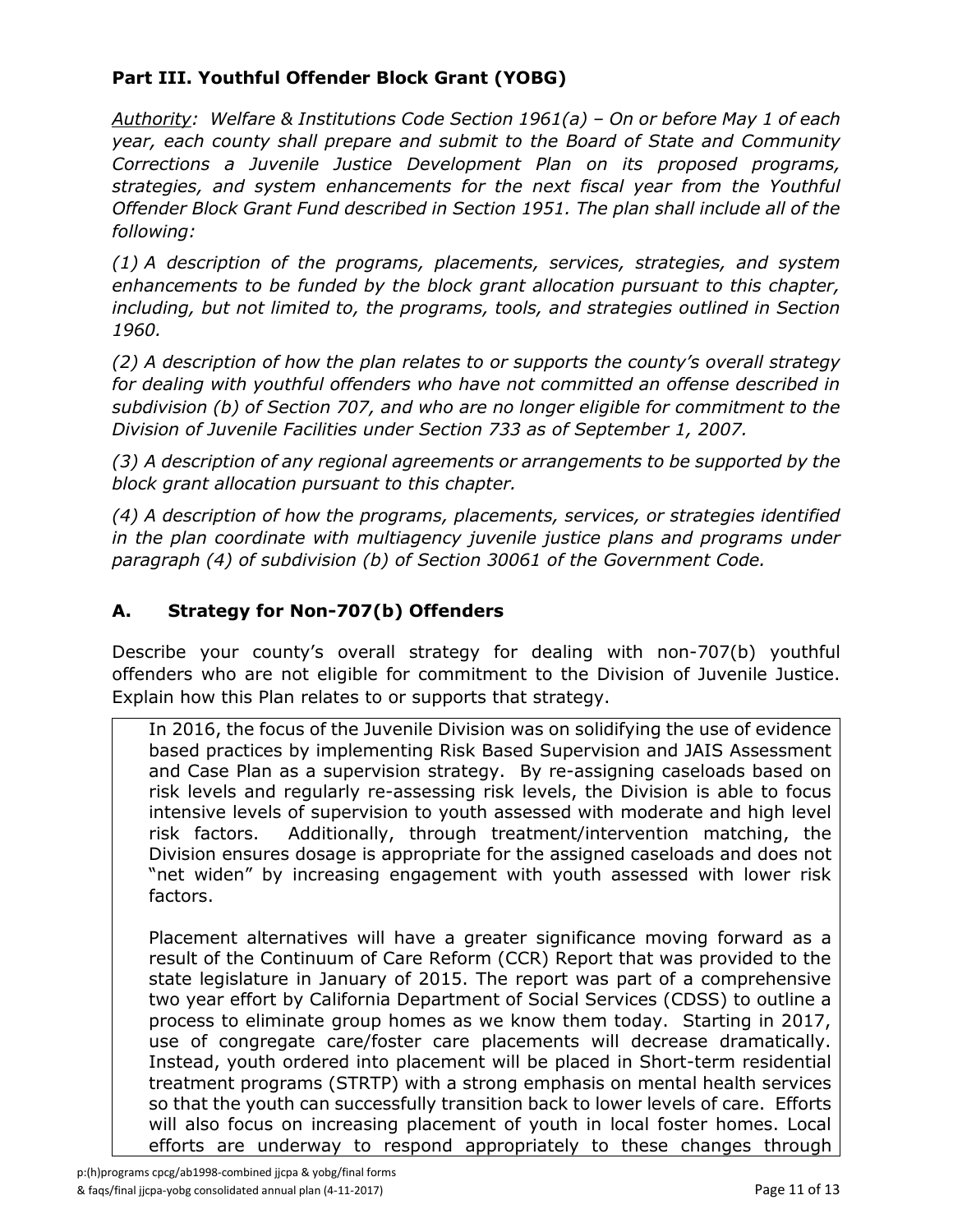### **Part III. Youthful Offender Block Grant (YOBG)**

*Authority: Welfare & Institutions Code Section 1961(a) – On or before May 1 of each year, each county shall prepare and submit to the Board of State and Community Corrections a Juvenile Justice Development Plan on its proposed programs, strategies, and system enhancements for the next fiscal year from the Youthful Offender Block Grant Fund described in Section 1951. The plan shall include all of the following:*

*(1) A description of the programs, placements, services, strategies, and system enhancements to be funded by the block grant allocation pursuant to this chapter, including, but not limited to, the programs, tools, and strategies outlined in Section 1960.*

*(2) A description of how the plan relates to or supports the county's overall strategy for dealing with youthful offenders who have not committed an offense described in subdivision (b) of Section 707, and who are no longer eligible for commitment to the Division of Juvenile Facilities under Section 733 as of September 1, 2007.*

*(3) A description of any regional agreements or arrangements to be supported by the block grant allocation pursuant to this chapter.*

*(4) A description of how the programs, placements, services, or strategies identified in the plan coordinate with multiagency juvenile justice plans and programs under paragraph (4) of subdivision (b) of Section 30061 of the Government Code.*

### **A. Strategy for Non-707(b) Offenders**

Describe your county's overall strategy for dealing with non-707(b) youthful offenders who are not eligible for commitment to the Division of Juvenile Justice. Explain how this Plan relates to or supports that strategy.

In 2016, the focus of the Juvenile Division was on solidifying the use of evidence based practices by implementing Risk Based Supervision and JAIS Assessment and Case Plan as a supervision strategy. By re-assigning caseloads based on risk levels and regularly re-assessing risk levels, the Division is able to focus intensive levels of supervision to youth assessed with moderate and high level risk factors. Additionally, through treatment/intervention matching, the Division ensures dosage is appropriate for the assigned caseloads and does not "net widen" by increasing engagement with youth assessed with lower risk factors.

Placement alternatives will have a greater significance moving forward as a result of the Continuum of Care Reform (CCR) Report that was provided to the state legislature in January of 2015. The report was part of a comprehensive two year effort by California Department of Social Services (CDSS) to outline a process to eliminate group homes as we know them today. Starting in 2017, use of congregate care/foster care placements will decrease dramatically. Instead, youth ordered into placement will be placed in Short-term residential treatment programs (STRTP) with a strong emphasis on mental health services so that the youth can successfully transition back to lower levels of care. Efforts will also focus on increasing placement of youth in local foster homes. Local efforts are underway to respond appropriately to these changes through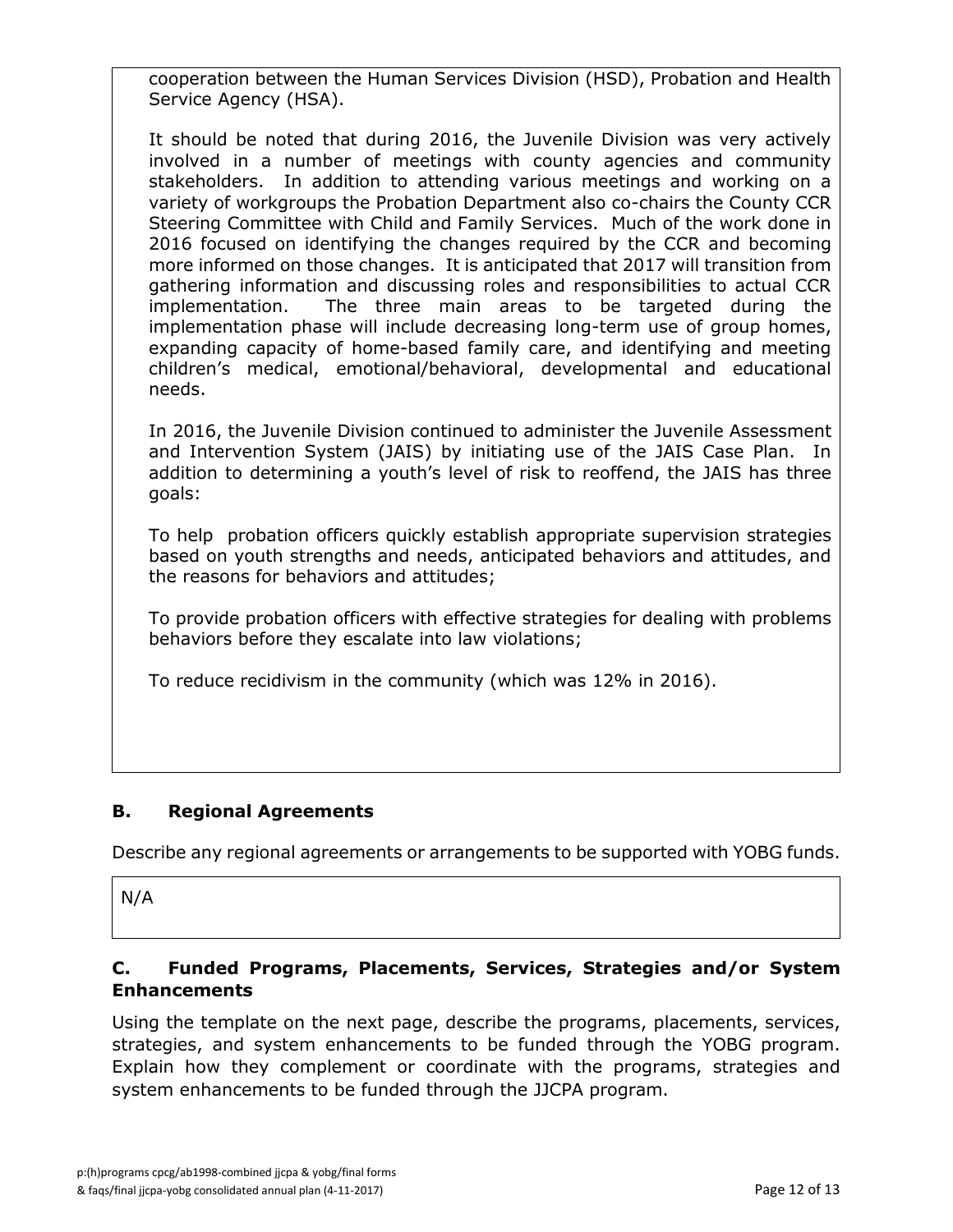cooperation between the Human Services Division (HSD), Probation and Health Service Agency (HSA).

It should be noted that during 2016, the Juvenile Division was very actively involved in a number of meetings with county agencies and community stakeholders. In addition to attending various meetings and working on a variety of workgroups the Probation Department also co-chairs the County CCR Steering Committee with Child and Family Services. Much of the work done in 2016 focused on identifying the changes required by the CCR and becoming more informed on those changes. It is anticipated that 2017 will transition from gathering information and discussing roles and responsibilities to actual CCR implementation. The three main areas to be targeted during the implementation phase will include decreasing long-term use of group homes, expanding capacity of home-based family care, and identifying and meeting children's medical, emotional/behavioral, developmental and educational needs.

In 2016, the Juvenile Division continued to administer the Juvenile Assessment and Intervention System (JAIS) by initiating use of the JAIS Case Plan. In addition to determining a youth's level of risk to reoffend, the JAIS has three goals:

To help probation officers quickly establish appropriate supervision strategies based on youth strengths and needs, anticipated behaviors and attitudes, and the reasons for behaviors and attitudes;

To provide probation officers with effective strategies for dealing with problems behaviors before they escalate into law violations;

To reduce recidivism in the community (which was 12% in 2016).

#### **B. Regional Agreements**

Describe any regional agreements or arrangements to be supported with YOBG funds.

N/A

#### **C. Funded Programs, Placements, Services, Strategies and/or System Enhancements**

Using the template on the next page, describe the programs, placements, services, strategies, and system enhancements to be funded through the YOBG program. Explain how they complement or coordinate with the programs, strategies and system enhancements to be funded through the JJCPA program.